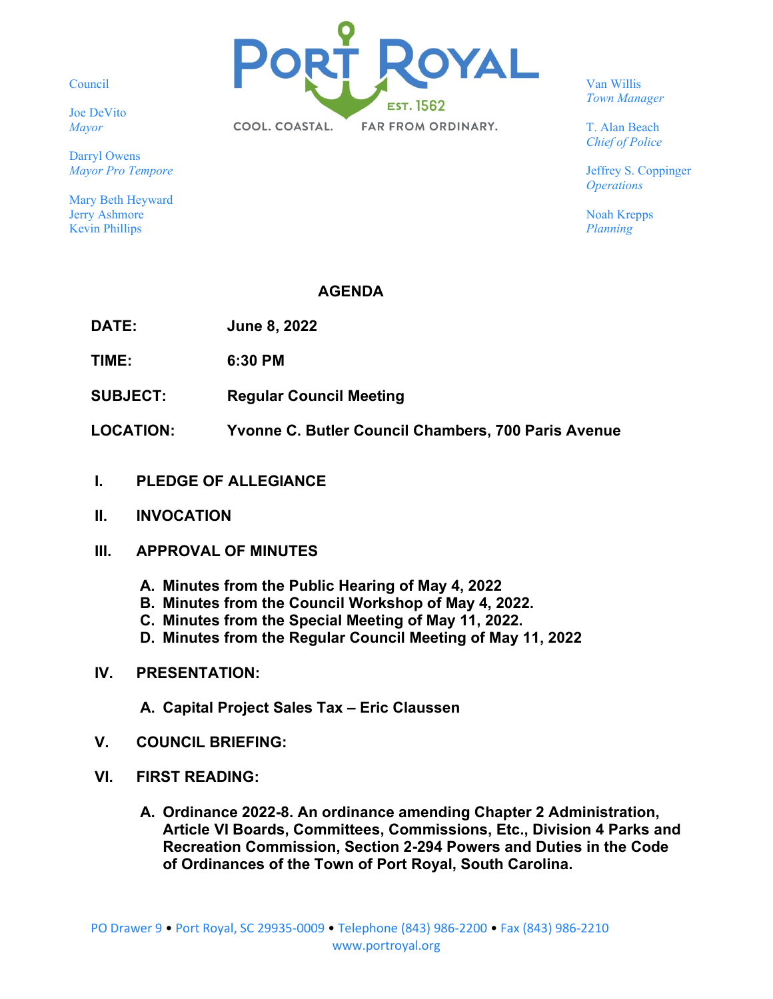Council

Joe DeVito *Mayor*

Darryl Owens *Mayor Pro Tempore*

Mary Beth Heyward Jerry Ashmore Kevin Phillips



Van Willis *Town Manager*

T. Alan Beach *Chief of Police*

Jeffrey S. Coppinger *Operations*

Noah Krepps *Planning*

## **AGENDA**

**DATE: June 8, 2022**

**TIME: 6:30 PM**

- **SUBJECT: Regular Council Meeting**
- **LOCATION: Yvonne C. Butler Council Chambers, 700 Paris Avenue**
- **I. PLEDGE OF ALLEGIANCE**
- **II. INVOCATION**
- **III. APPROVAL OF MINUTES**
	- **A. Minutes from the Public Hearing of May 4, 2022**
	- **B. Minutes from the Council Workshop of May 4, 2022.**
	- **C. Minutes from the Special Meeting of May 11, 2022.**
	- **D. Minutes from the Regular Council Meeting of May 11, 2022**

## **IV. PRESENTATION:**

- **A. Capital Project Sales Tax – Eric Claussen**
- **V. COUNCIL BRIEFING:**
- **VI. FIRST READING:**
	- **A. Ordinance 2022-8. An ordinance amending Chapter 2 Administration, Article VI Boards, Committees, Commissions, Etc., Division 4 Parks and Recreation Commission, Section 2-294 Powers and Duties in the Code of Ordinances of the Town of Port Royal, South Carolina.**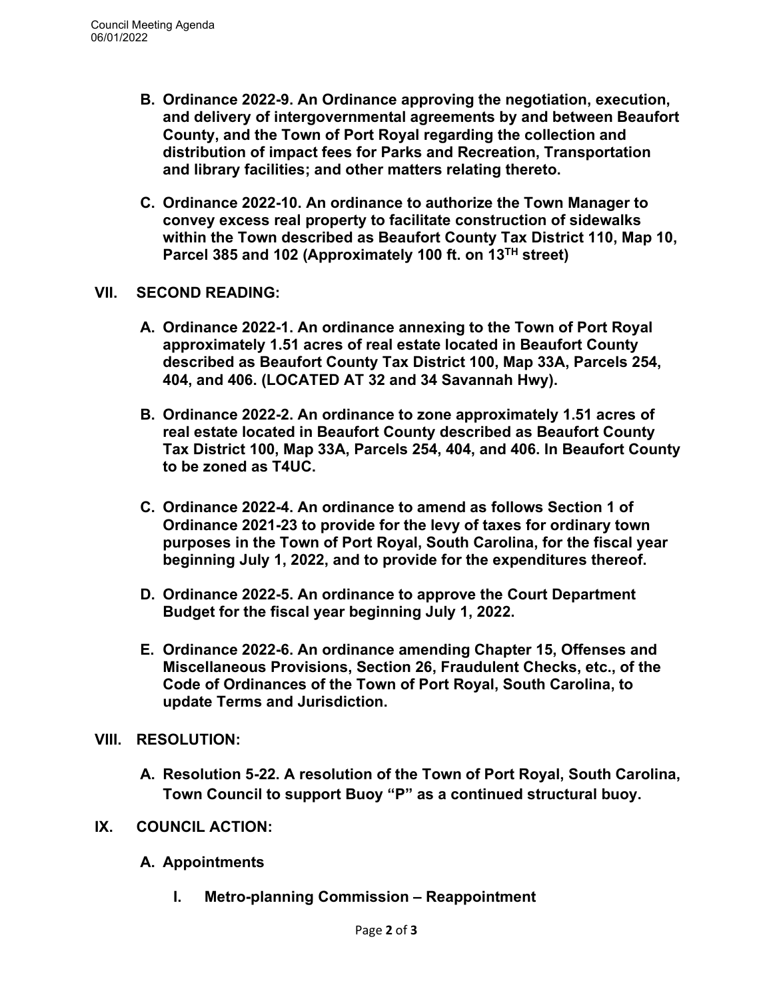- **B. Ordinance 2022-9. An Ordinance approving the negotiation, execution, and delivery of intergovernmental agreements by and between Beaufort County, and the Town of Port Royal regarding the collection and distribution of impact fees for Parks and Recreation, Transportation and library facilities; and other matters relating thereto.**
- **C. Ordinance 2022-10. An ordinance to authorize the Town Manager to convey excess real property to facilitate construction of sidewalks within the Town described as Beaufort County Tax District 110, Map 10, Parcel 385 and 102 (Approximately 100 ft. on 13TH street)**

## **VII. SECOND READING:**

- **A. Ordinance 2022-1. An ordinance annexing to the Town of Port Royal approximately 1.51 acres of real estate located in Beaufort County described as Beaufort County Tax District 100, Map 33A, Parcels 254, 404, and 406. (LOCATED AT 32 and 34 Savannah Hwy).**
- **B. Ordinance 2022-2. An ordinance to zone approximately 1.51 acres of real estate located in Beaufort County described as Beaufort County Tax District 100, Map 33A, Parcels 254, 404, and 406. In Beaufort County to be zoned as T4UC.**
- **C. Ordinance 2022-4. An ordinance to amend as follows Section 1 of Ordinance 2021-23 to provide for the levy of taxes for ordinary town purposes in the Town of Port Royal, South Carolina, for the fiscal year beginning July 1, 2022, and to provide for the expenditures thereof.**
- **D. Ordinance 2022-5. An ordinance to approve the Court Department Budget for the fiscal year beginning July 1, 2022.**
- **E. Ordinance 2022-6. An ordinance amending Chapter 15, Offenses and Miscellaneous Provisions, Section 26, Fraudulent Checks, etc., of the Code of Ordinances of the Town of Port Royal, South Carolina, to update Terms and Jurisdiction.**

## **VIII. RESOLUTION:**

**A. Resolution 5-22. A resolution of the Town of Port Royal, South Carolina, Town Council to support Buoy "P" as a continued structural buoy.**

# **IX. COUNCIL ACTION:**

- **A. Appointments**
	- **I. Metro-planning Commission – Reappointment**